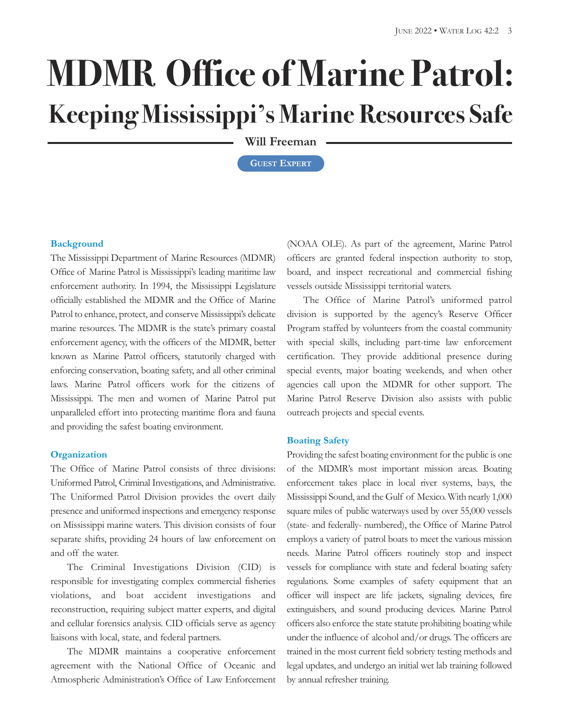# **MDMR Office of Marine Patrol: Keeping Mississippi's Marine Resources Safe**

**Will Freeman**

**GUEST EXPERT**

#### **Background**

The Mississippi Department of Marine Resources (MDMR) Office of Marine Patrol is Mississippi's leading maritime law enforcement authority. In 1994, the Mississippi Legislature officially established the MDMR and the Office of Marine Patrol to enhance, protect, and conserve Mississippi's delicate marine resources. The MDMR is the state's primary coastal enforcement agency, with the officers of the MDMR, better known as Marine Patrol officers, statutorily charged with enforcing conservation, boating safety, and all other criminal laws. Marine Patrol officers work for the citizens of Mississippi. The men and women of Marine Patrol put unparalleled effort into protecting maritime flora and fauna and providing the safest boating environment.

#### **Organization**

The Office of Marine Patrol consists of three divisions: Uniformed Patrol, Criminal Investigations, and Administrative. The Uniformed Patrol Division provides the overt daily presence and uniformed inspections and emergency response on Mississippi marine waters. This division consists of four separate shifts, providing 24 hours of law enforcement on and off the water.

The Criminal Investigations Division (CID) is responsible for investigating complex commercial fisheries violations, and boat accident investigations and reconstruction, requiring subject matter experts, and digital and cellular forensics analysis. CID officials serve as agency liaisons with local, state, and federal partners.

The MDMR maintains a cooperative enforcement agreement with the National Office of Oceanic and Atmospheric Administration's Office of Law Enforcement (NOAA OLE). As part of the agreement, Marine Patrol officers are granted federal inspection authority to stop, board, and inspect recreational and commercial fishing vessels outside Mississippi territorial waters.

The Office of Marine Patrol's uniformed patrol division is supported by the agency's Reserve Officer Program staffed by volunteers from the coastal community with special skills, including part-time law enforcement certification. They provide additional presence during special events, major boating weekends, and when other agencies call upon the MDMR for other support. The Marine Patrol Reserve Division also assists with public outreach projects and special events.

#### **Boating Safety**

Providing the safest boating environment for the public is one of the MDMR's most important mission areas. Boating enforcement takes place in local river systems, bays, the Mississippi Sound, and the Gulf of Mexico. With nearly 1,000 square miles of public waterways used by over 55,000 vessels (state- and federally- numbered), the Office of Marine Patrol employs a variety of patrol boats to meet the various mission needs. Marine Patrol officers routinely stop and inspect vessels for compliance with state and federal boating safety regulations. Some examples of safety equipment that an officer will inspect are life jackets, signaling devices, fire extinguishers, and sound producing devices. Marine Patrol officers also enforce the state statute prohibiting boatingwhile under the influence of alcohol and/or drugs. The officers are trained in the most current field sobriety testing methods and legal updates, and undergo an initial wet lab training followed by annual refresher training.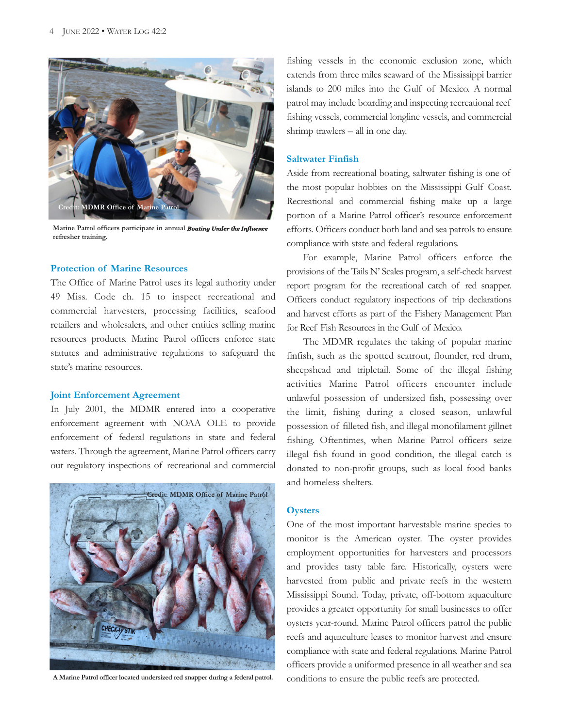

**Marine Patrol officers participate in annual <b>Boating Under the Infl refresher training.**

# **Protection of Marine Resources**

The Office of Marine Patrol uses its legal authority under 49 Miss. Code ch. 15 to inspect recreational and commercial harvesters, processing facilities, seafood retailers and wholesalers, and other entities selling marine resources products. Marine Patrol officers enforce state statutes and administrative regulations to safeguard the state's marine resources.

#### **Joint Enforcement Agreement**

In July 2001, the MDMR entered into a cooperative enforcement agreement with NOAA OLE to provide enforcement of federal regulations in state and federal waters. Through the agreement, Marine Patrol officers carry out regulatory inspections of recreational and commercial



**A Marine Patrol officer located undersized red snapper during a federal patrol.**

fishing vessels in the economic exclusion zone, which extends from three miles seaward of the Mississippi barrier islands to 200 miles into the Gulf of Mexico. A normal patrol may include boarding and inspecting recreational reef fishing vessels, commercial longline vessels, and commercial shrimp trawlers – all in one day.

### **Saltwater Finfish**

Aside from recreational boating, saltwater fishing is one of the most popular hobbies on the Mississippi Gulf Coast. Recreational and commercial fishing make up a large portion of a Marine Patrol officer's resource enforcement efforts. Officers conduct both land and sea patrols to ensure compliance with state and federal regulations.

For example, Marine Patrol officers enforce the provisions of the Tails N' Scales program, a self-check harvest report program for the recreational catch of red snapper. Officers conduct regulatory inspections of trip declarations and harvest efforts as part of the Fishery Management Plan for Reef Fish Resources in the Gulf of Mexico.

The MDMR regulates the taking of popular marine finfish, such as the spotted seatrout, flounder, red drum, sheepshead and tripletail. Some of the illegal fishing activities Marine Patrol officers encounter include unlawful possession of undersized fish, possessing over the limit, fishing during a closed season, unlawful possession of filleted fish, and illegal monofilament gillnet fishing. Oftentimes, when Marine Patrol officers seize illegal fish found in good condition, the illegal catch is donated to non-profit groups, such as local food banks and homeless shelters.

#### **Oysters**

One of the most important harvestable marine species to monitor is the American oyster. The oyster provides employment opportunities for harvesters and processors and provides tasty table fare. Historically, oysters were harvested from public and private reefs in the western Mississippi Sound. Today, private, off-bottom aquaculture provides a greater opportunity for small businesses to offer oysters year-round. Marine Patrol officers patrol the public reefs and aquaculture leases to monitor harvest and ensure compliance with state and federal regulations. Marine Patrol officers provide a uniformed presence in all weather and sea conditions to ensure the public reefs are protected.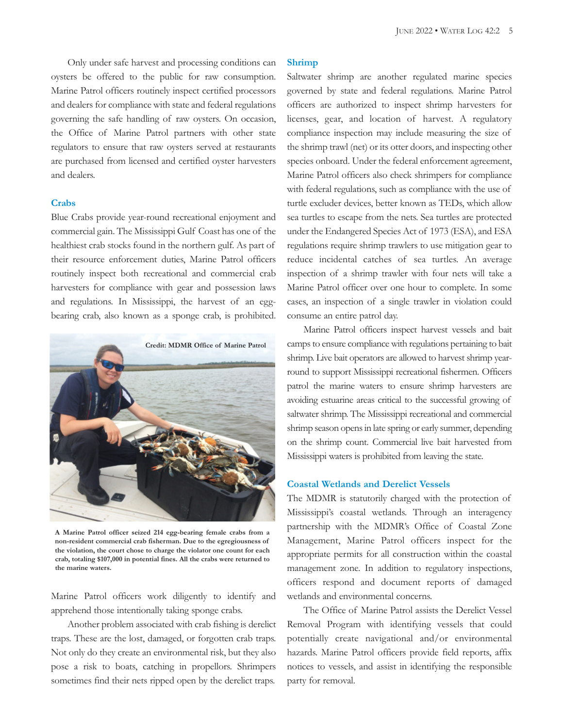Only under safe harvest and processing conditions can oysters be offered to the public for raw consumption. Marine Patrol officers routinely inspect certified processors and dealers for compliance with state and federal regulations governing the safe handling of raw oysters. On occasion, the Office of Marine Patrol partners with other state regulators to ensure that raw oysters served at restaurants are purchased from licensed and certified oyster harvesters and dealers.

#### **Crabs**

Blue Crabs provide year-round recreational enjoyment and commercial gain. The Mississippi Gulf Coast has one of the healthiest crab stocks found in the northern gulf. As part of their resource enforcement duties, Marine Patrol officers routinely inspect both recreational and commercial crab harvesters for compliance with gear and possession laws and regulations. In Mississippi, the harvest of an eggbearing crab, also known as a sponge crab, is prohibited.



**A Marine Patrol officer seized 214 egg-bearing female crabs from a non-resident commercial crab fisherman. Due to the egregiousness of the violation, the court chose to charge the violator one count for each crab, totaling \$107,000 in potential fines. All the crabs were returned to the marine waters.**

Marine Patrol officers work diligently to identify and apprehend those intentionally taking sponge crabs.

Another problem associated with crab fishing is derelict traps. These are the lost, damaged, or forgotten crab traps. Not only do they create an environmental risk, but they also pose a risk to boats, catching in propellors. Shrimpers sometimes find their nets ripped open by the derelict traps.

#### **Shrimp**

Saltwater shrimp are another regulated marine species governed by state and federal regulations. Marine Patrol officers are authorized to inspect shrimp harvesters for licenses, gear, and location of harvest. A regulatory compliance inspection may include measuring the size of the shrimp trawl (net) or its otter doors, and inspecting other species onboard. Under the federal enforcement agreement, Marine Patrol officers also check shrimpers for compliance with federal regulations, such as compliance with the use of turtle excluder devices, better known as TEDs, which allow sea turtles to escape from the nets. Sea turtles are protected under the Endangered Species Act of 1973 (ESA), and ESA regulations require shrimp trawlers to use mitigation gear to reduce incidental catches of sea turtles. An average inspection of a shrimp trawler with four nets will take a Marine Patrol officer over one hour to complete. In some cases, an inspection of a single trawler in violation could consume an entire patrol day.

Marine Patrol officers inspect harvest vessels and bait camps to ensure compliance with regulations pertaining to bait shrimp. Live bait operators are allowed to harvest shrimp yearround to support Mississippi recreational fishermen. Officers patrol the marine waters to ensure shrimp harvesters are avoiding estuarine areas critical to the successful growing of saltwater shrimp. The Mississippi recreational and commercial shrimp season opens in late spring or early summer, depending on the shrimp count. Commercial live bait harvested from Mississippi waters is prohibited from leaving the state.

# **Coastal Wetlands and Derelict Vessels**

The MDMR is statutorily charged with the protection of Mississippi's coastal wetlands. Through an interagency partnership with the MDMR's Office of Coastal Zone Management, Marine Patrol officers inspect for the appropriate permits for all construction within the coastal management zone. In addition to regulatory inspections, officers respond and document reports of damaged wetlands and environmental concerns.

The Office of Marine Patrol assists the Derelict Vessel Removal Program with identifying vessels that could potentially create navigational and/or environmental hazards. Marine Patrol officers provide field reports, affix notices to vessels, and assist in identifying the responsible party for removal.